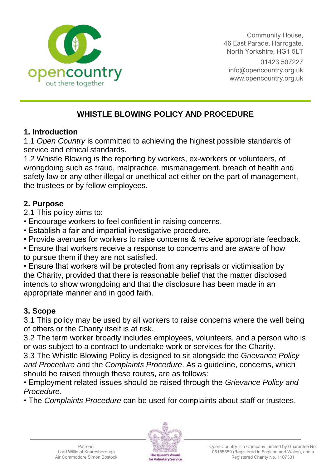

Community House, 46 East Parade, Harrogate, North Yorkshire, HG1 5LT 01423 507227 [info@opencountry.org.uk](mailto:info@opencountry.org.uk) www.opencountry.org.uk

## **WHISTLE BLOWING POLICY AND PROCEDURE**

#### **1. Introduction**

1.1 *Open Country* is committed to achieving the highest possible standards of service and ethical standards.

1.2 Whistle Blowing is the reporting by workers, ex-workers or volunteers, of wrongdoing such as fraud, malpractice, mismanagement, breach of health and safety law or any other illegal or unethical act either on the part of management, the trustees or by fellow employees.

#### **2. Purpose**

2.1 This policy aims to:

• Encourage workers to feel confident in raising concerns.

• Establish a fair and impartial investigative procedure.

• Provide avenues for workers to raise concerns & receive appropriate feedback.

• Ensure that workers receive a response to concerns and are aware of how to pursue them if they are not satisfied.

• Ensure that workers will be protected from any reprisals or victimisation by the Charity, provided that there is reasonable belief that the matter disclosed intends to show wrongdoing and that the disclosure has been made in an appropriate manner and in good faith.

## **3. Scope**

3.1 This policy may be used by all workers to raise concerns where the well being of others or the Charity itself is at risk.

3.2 The term worker broadly includes employees, volunteers, and a person who is or was subject to a contract to undertake work or services for the Charity.

3.3 The Whistle Blowing Policy is designed to sit alongside the *Grievance Policy and Procedure* and the *Complaints Procedure*. As a guideline, concerns, which should be raised through these routes, are as follows:

• Employment related issues should be raised through the *Grievance Policy and Procedure*.

• The *Complaints Procedure* can be used for complaints about staff or trustees.

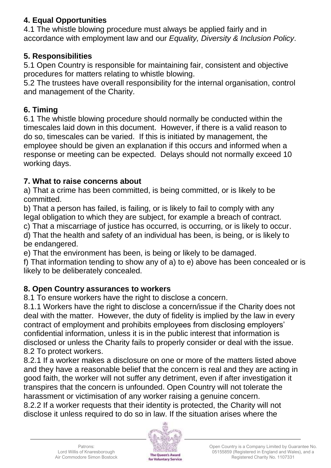### **4. Equal Opportunities**

4.1 The whistle blowing procedure must always be applied fairly and in accordance with employment law and our *Equality, Diversity & Inclusion Policy*.

#### **5. Responsibilities**

5.1 Open Country is responsible for maintaining fair, consistent and objective procedures for matters relating to whistle blowing.

5.2 The trustees have overall responsibility for the internal organisation, control and management of the Charity.

#### **6. Timing**

6.1 The whistle blowing procedure should normally be conducted within the timescales laid down in this document. However, if there is a valid reason to do so, timescales can be varied. If this is initiated by management, the employee should be given an explanation if this occurs and informed when a response or meeting can be expected. Delays should not normally exceed 10 working days.

#### **7. What to raise concerns about**

a) That a crime has been committed, is being committed, or is likely to be committed.

b) That a person has failed, is failing, or is likely to fail to comply with any legal obligation to which they are subject, for example a breach of contract.

c) That a miscarriage of justice has occurred, is occurring, or is likely to occur.

d) That the health and safety of an individual has been, is being, or is likely to be endangered.

e) That the environment has been, is being or likely to be damaged.

f) That information tending to show any of a) to e) above has been concealed or is likely to be deliberately concealed.

#### **8. Open Country assurances to workers**

8.1 To ensure workers have the right to disclose a concern.

8.1.1 Workers have the right to disclose a concern/issue if the Charity does not deal with the matter. However, the duty of fidelity is implied by the law in every contract of employment and prohibits employees from disclosing employers' confidential information, unless it is in the public interest that information is disclosed or unless the Charity fails to properly consider or deal with the issue. 8.2 To protect workers.

8.2.1 If a worker makes a disclosure on one or more of the matters listed above and they have a reasonable belief that the concern is real and they are acting in good faith, the worker will not suffer any detriment, even if after investigation it transpires that the concern is unfounded. Open Country will not tolerate the harassment or victimisation of any worker raising a genuine concern.

8.2.2 If a worker requests that their identity is protected, the Charity will not disclose it unless required to do so in law. If the situation arises where the

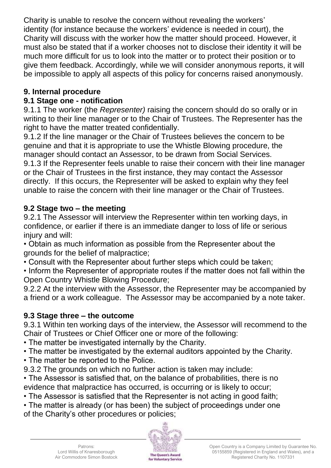Charity is unable to resolve the concern without revealing the workers' identity (for instance because the workers' evidence is needed in court), the Charity will discuss with the worker how the matter should proceed. However, it must also be stated that if a worker chooses not to disclose their identity it will be much more difficult for us to look into the matter or to protect their position or to give them feedback. Accordingly, while we will consider anonymous reports, it will be impossible to apply all aspects of this policy for concerns raised anonymously.

### **9. Internal procedure**

## **9.1 Stage one - notification**

9.1.1 The worker (the *Representer)* raising the concern should do so orally or in writing to their line manager or to the Chair of Trustees. The Representer has the right to have the matter treated confidentially.

9.1.2 If the line manager or the Chair of Trustees believes the concern to be genuine and that it is appropriate to use the Whistle Blowing procedure, the manager should contact an Assessor, to be drawn from Social Services. 9.1.3 If the Representer feels unable to raise their concern with their line manager or the Chair of Trustees in the first instance, they may contact the Assessor directly. If this occurs, the Representer will be asked to explain why they feel unable to raise the concern with their line manager or the Chair of Trustees.

# **9.2 Stage two – the meeting**

9.2.1 The Assessor will interview the Representer within ten working days, in confidence, or earlier if there is an immediate danger to loss of life or serious injury and will:

• Obtain as much information as possible from the Representer about the grounds for the belief of malpractice;

• Consult with the Representer about further steps which could be taken;

• Inform the Representer of appropriate routes if the matter does not fall within the Open Country Whistle Blowing Procedure;

9.2.2 At the interview with the Assessor, the Representer may be accompanied by a friend or a work colleague. The Assessor may be accompanied by a note taker.

# **9.3 Stage three – the outcome**

9.3.1 Within ten working days of the interview, the Assessor will recommend to the Chair of Trustees or Chief Officer one or more of the following:

- The matter be investigated internally by the Charity.
- The matter be investigated by the external auditors appointed by the Charity.
- The matter be reported to the Police.
- 9.3.2 The grounds on which no further action is taken may include:

• The Assessor is satisfied that, on the balance of probabilities, there is no evidence that malpractice has occurred, is occurring or is likely to occur;

• The Assessor is satisfied that the Representer is not acting in good faith;

• The matter is already (or has been) the subject of proceedings under one of the Charity's other procedures or policies;